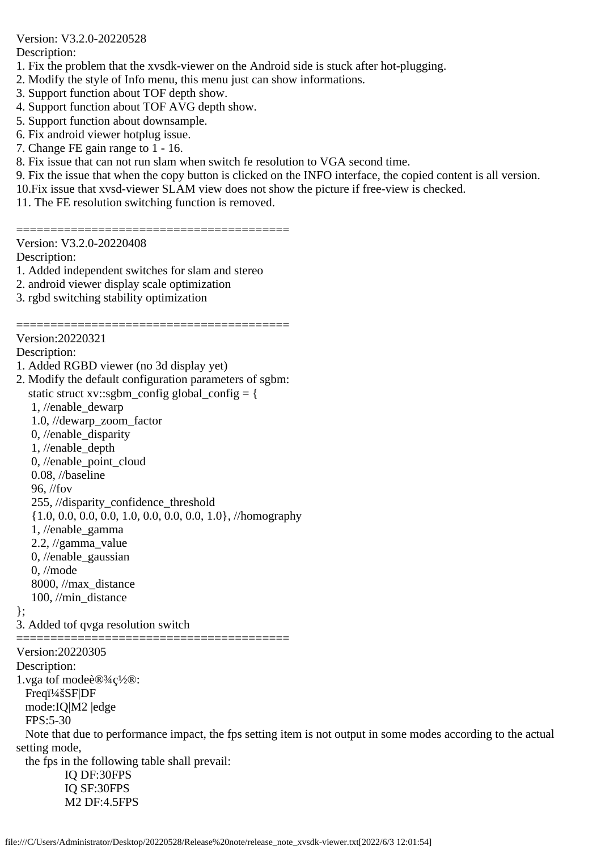Version: V3.2.0-20220528

Description:

- 1. Fix the problem that the xvsdk-viewer on the Android side is stuck after hot-plugging.
- 2. Modify the style of Info menu, this menu just can show informations.
- 3. Support function about TOF depth show.
- 4. Support function about TOF AVG depth show.
- 5. Support function about downsample.
- 6. Fix android viewer hotplug issue.
- 7. Change FE gain range to 1 16.
- 8. Fix issue that can not run slam when switch fe resolution to VGA second time.
- 9. Fix the issue that when the copy button is clicked on the INFO interface, the copied content is all version.
- 10.Fix issue that xvsd-viewer SLAM view does not show the picture if free-view is checked.
- 11. The FE resolution switching function is removed.

========================================

Version: V3.2.0-20220408

Description:

- 1. Added independent switches for slam and stereo
- 2. android viewer display scale optimization
- 3. rgbd switching stability optimization

======================================== Version:20220321

Description:

- 1. Added RGBD viewer (no 3d display yet)
- 2. Modify the default configuration parameters of sgbm: static struct xv::sgbm\_config global\_config =  $\{$  1, //enable\_dewarp 1.0, //dewarp\_zoom\_factor 0, //enable\_disparity 1, //enable\_depth 0, //enable\_point\_cloud 0.08, //baseline 96, //fov 255, //disparity\_confidence\_threshold {1.0, 0.0, 0.0, 0.0, 1.0, 0.0, 0.0, 0.0, 1.0}, //homography 1, //enable\_gamma 2.2, //gamma\_value 0, //enable\_gaussian 0, //mode 8000, //max\_distance 100, //min\_distance
- };
- 3. Added tof qvga resolution switch

Version:20220305

Description:

1.vga tof mode设c½®:

Freqi<sup>1</sup>/4šSF|DF

mode:IQ|M2 |edge

FPS:5-30

 Note that due to performance impact, the fps setting item is not output in some modes according to the actual setting mode,

 the fps in the following table shall prevail: IQ DF:30FPS IQ SF:30FPS M2 DF:4.5FPS

**==============**